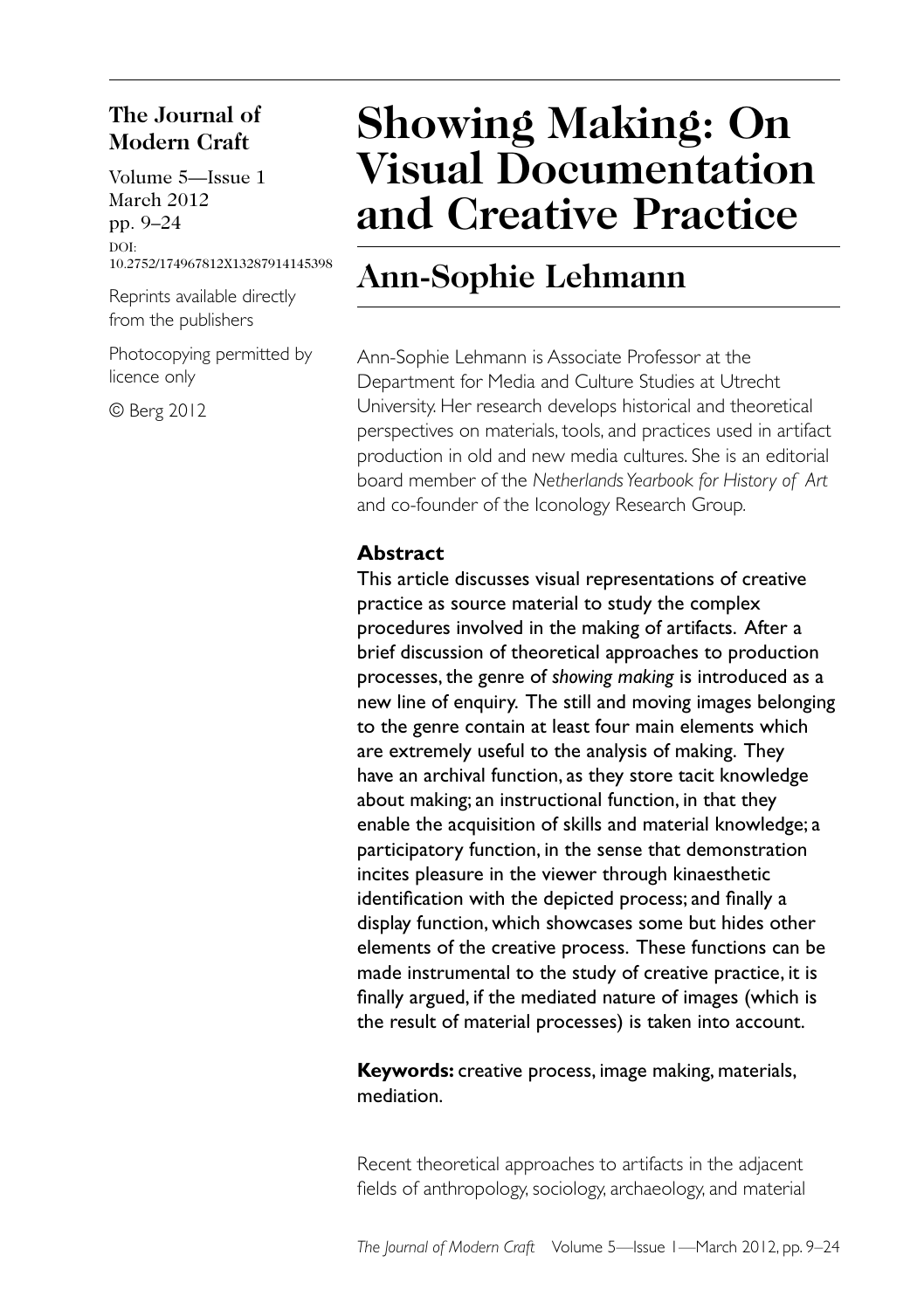# The Journal of Modern Craft

Volume 5-Issue 1 March 2012 pp. 9-24 DOI: 10.2752/174967812X13287914145398

Reprints available directly from the publishers

Photocopying permitted by licence only

© Berg 2012

# **Showing Making: On Visual Documentation** and Creative Practice

# **Ann-Sophie Lehmann**

Ann-Sophie Lehmann is Associate Professor at the Department for Media and Culture Studies at Utrecht University. Her research develops historical and theoretical perspectives on materials, tools, and practices used in artifact production in old and new media cultures. She is an editorial board member of the Netherlands Yearbook for History of Art and co-founder of the Iconology Research Group.

#### **Abstract**

This article discusses visual representations of creative practice as source material to study the complex procedures involved in the making of artifacts. After a brief discussion of theoretical approaches to production processes, the genre of showing making is introduced as a new line of enquiry. The still and moving images belonging to the genre contain at least four main elements which are extremely useful to the analysis of making. They have an archival function, as they store tacit knowledge about making; an instructional function, in that they enable the acquisition of skills and material knowledge; a participatory function, in the sense that demonstration incites pleasure in the viewer through kinaesthetic identification with the depicted process; and finally a display function, which showcases some but hides other elements of the creative process. These functions can be made instrumental to the study of creative practice, it is finally argued, if the mediated nature of images (which is the result of material processes) is taken into account.

Keywords: creative process, image making, materials, mediation.

Recent theoretical approaches to artifacts in the adjacent fields of anthropology, sociology, archaeology, and material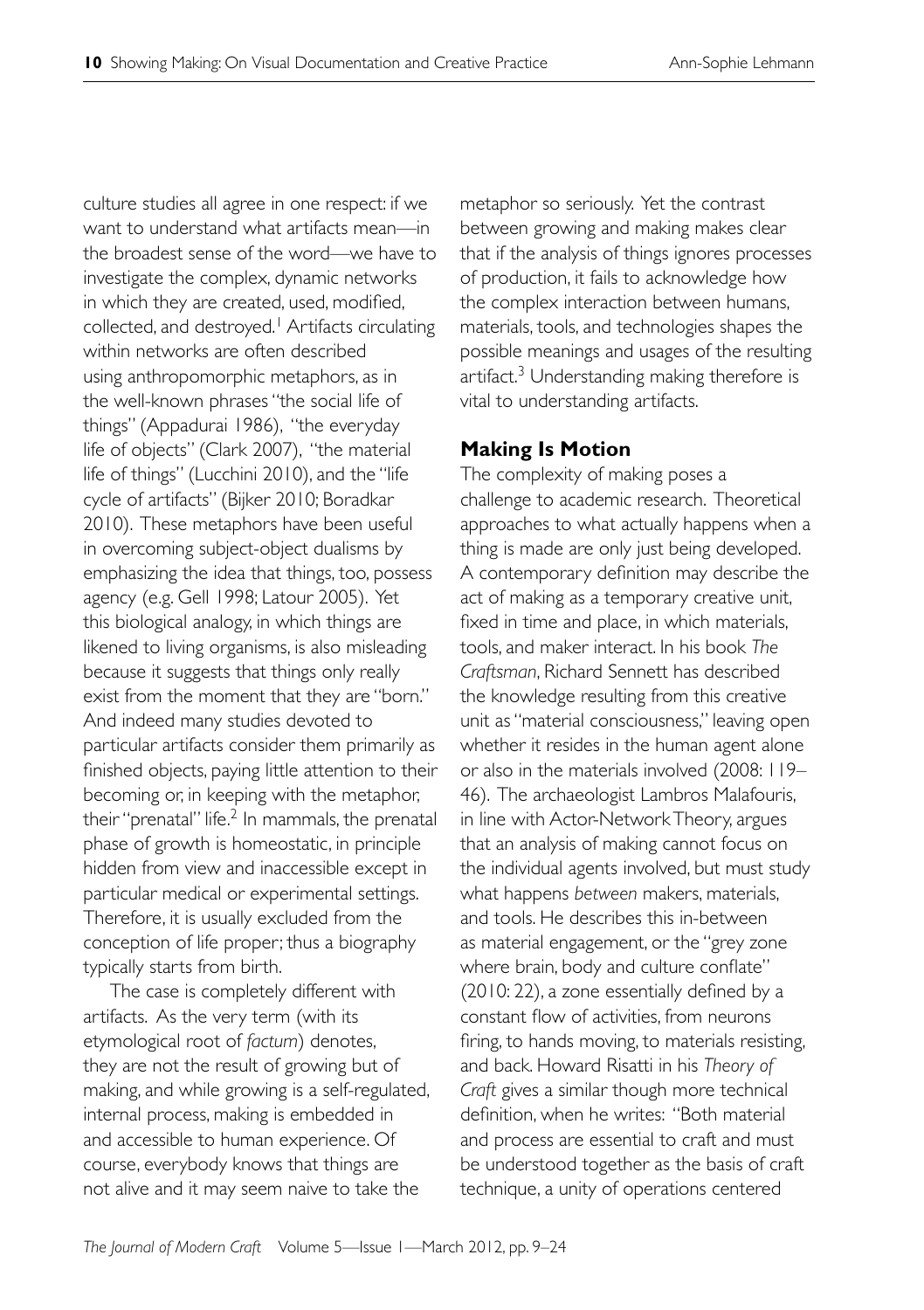culture studies all agree in one respect: if we want to understand what artifacts mean-in the broadest sense of the word-we have to investigate the complex, dynamic networks in which they are created, used, modified, collected, and destroyed.<sup>1</sup> Artifacts circulating within networks are often described using anthropomorphic metaphors, as in the well-known phrases "the social life of things" (Appadurai 1986), "the everyday life of objects" (Clark 2007), "the material life of things" (Lucchini 2010), and the "life cycle of artifacts" (Bijker 2010; Boradkar 2010). These metaphors have been useful in overcoming subject-object dualisms by emphasizing the idea that things, too, possess agency (e.g. Gell 1998; Latour 2005). Yet this biological analogy, in which things are likened to living organisms, is also misleading because it suggests that things only really exist from the moment that they are "born." And indeed many studies devoted to particular artifacts consider them primarily as finished objects, paying little attention to their becoming or, in keeping with the metaphor, their "prenatal" life.<sup>2</sup> In mammals, the prenatal phase of growth is homeostatic, in principle hidden from view and inaccessible except in particular medical or experimental settings. Therefore, it is usually excluded from the conception of life proper; thus a biography typically starts from birth.

The case is completely different with artifacts. As the very term (with its etymological root of factum) denotes, they are not the result of growing but of making, and while growing is a self-regulated, internal process, making is embedded in and accessible to human experience. Of course, everybody knows that things are not alive and it may seem naive to take the

metaphor so seriously. Yet the contrast between growing and making makes clear that if the analysis of things ignores processes of production, it fails to acknowledge how the complex interaction between humans, materials, tools, and technologies shapes the possible meanings and usages of the resulting artifact.<sup>3</sup> Understanding making therefore is vital to understanding artifacts.

#### **Making Is Motion**

The complexity of making poses a challenge to academic research. Theoretical approaches to what actually happens when a thing is made are only just being developed. A contemporary definition may describe the act of making as a temporary creative unit, fixed in time and place, in which materials, tools, and maker interact. In his book The Craftsman, Richard Sennett has described the knowledge resulting from this creative unit as "material consciousness," leaving open whether it resides in the human agent alone or also in the materials involved (2008: 119-46). The archaeologist Lambros Malafouris, in line with Actor-Network Theory, argues that an analysis of making cannot focus on the individual agents involved, but must study what happens between makers, materials, and tools. He describes this in-between as material engagement, or the "grey zone where brain, body and culture conflate" (2010: 22), a zone essentially defined by a constant flow of activities, from neurons firing, to hands moving, to materials resisting, and back. Howard Risatti in his Theory of Craft gives a similar though more technical definition, when he writes: "Both material and process are essential to craft and must be understood together as the basis of craft technique, a unity of operations centered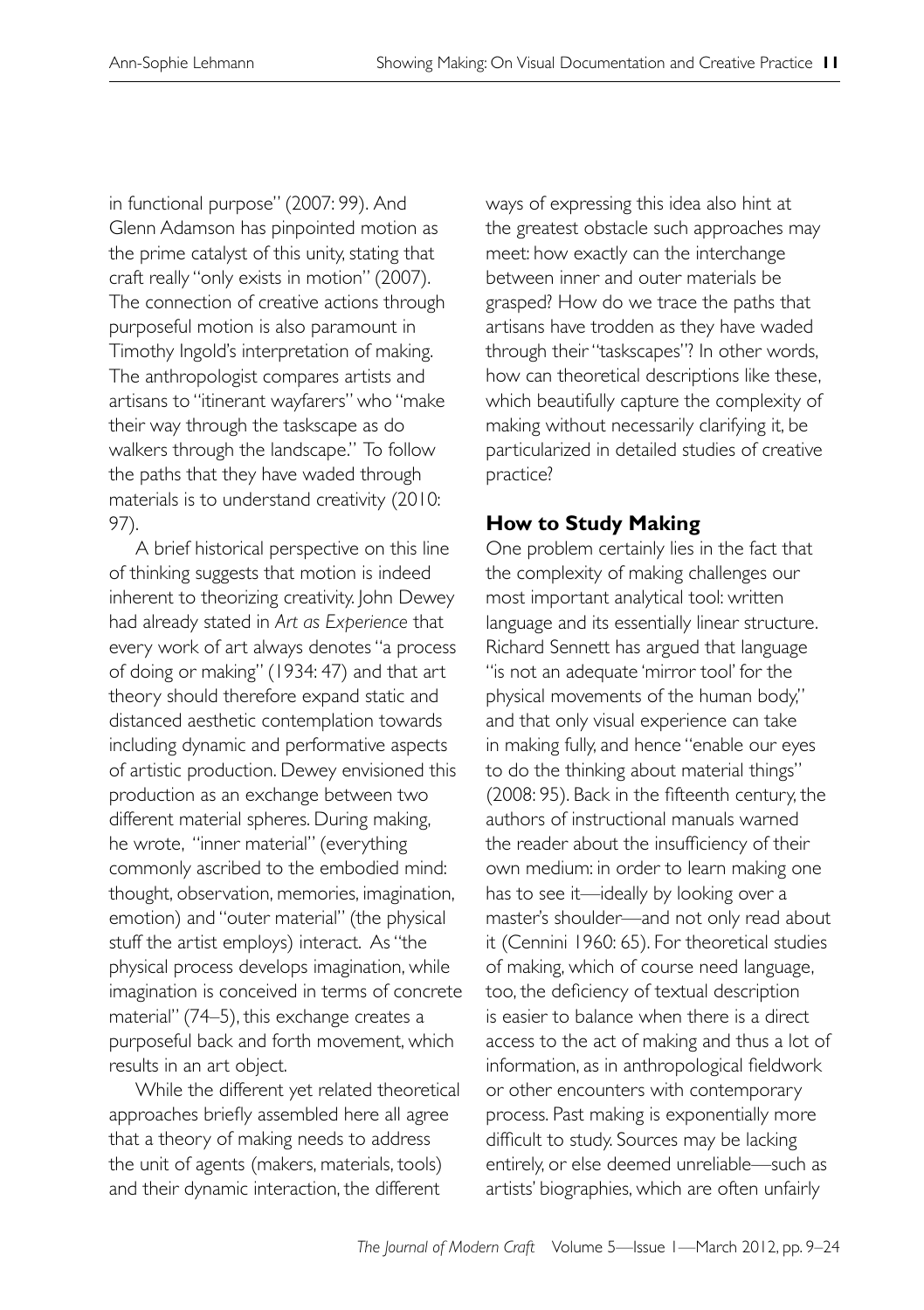in functional purpose" (2007: 99). And Glenn Adamson has pinpointed motion as the prime catalyst of this unity, stating that craft really "only exists in motion" (2007). The connection of creative actions through purposeful motion is also paramount in Timothy Ingold's interpretation of making. The anthropologist compares artists and artisans to "itinerant wayfarers" who "make their way through the taskscape as do walkers through the landscape." To follow the paths that they have waded through materials is to understand creativity (2010:  $97).$ 

A brief historical perspective on this line of thinking suggests that motion is indeed inherent to theorizing creativity. John Dewey had already stated in Art as Experience that every work of art always denotes "a process of doing or making" (1934: 47) and that art theory should therefore expand static and distanced aesthetic contemplation towards including dynamic and performative aspects of artistic production. Dewey envisioned this production as an exchange between two different material spheres. During making, he wrote, "inner material" (everything commonly ascribed to the embodied mind: thought, observation, memories, imagination, emotion) and "outer material" (the physical stuff the artist employs) interact. As "the physical process develops imagination, while imagination is conceived in terms of concrete material" (74-5), this exchange creates a purposeful back and forth movement, which results in an art object.

While the different yet related theoretical approaches briefly assembled here all agree that a theory of making needs to address the unit of agents (makers, materials, tools) and their dynamic interaction, the different

ways of expressing this idea also hint at the greatest obstacle such approaches may meet: how exactly can the interchange between inner and outer materials be grasped? How do we trace the paths that artisans have trodden as they have waded through their "taskscapes"? In other words, how can theoretical descriptions like these, which beautifully capture the complexity of making without necessarily clarifying it, be particularized in detailed studies of creative practice?

# **How to Study Making**

One problem certainly lies in the fact that the complexity of making challenges our most important analytical tool: written language and its essentially linear structure. Richard Sennett has argued that language "is not an adequate 'mirror tool' for the physical movements of the human body," and that only visual experience can take in making fully, and hence "enable our eyes to do the thinking about material things" (2008: 95). Back in the fifteenth century, the authors of instructional manuals warned the reader about the insufficiency of their own medium: in order to learn making one has to see it-ideally by looking over a master's shoulder-and not only read about it (Cennini 1960: 65). For theoretical studies of making, which of course need language, too, the deficiency of textual description is easier to balance when there is a direct access to the act of making and thus a lot of information, as in anthropological fieldwork or other encounters with contemporary process. Past making is exponentially more difficult to study. Sources may be lacking entirely, or else deemed unreliable-such as artists' biographies, which are often unfairly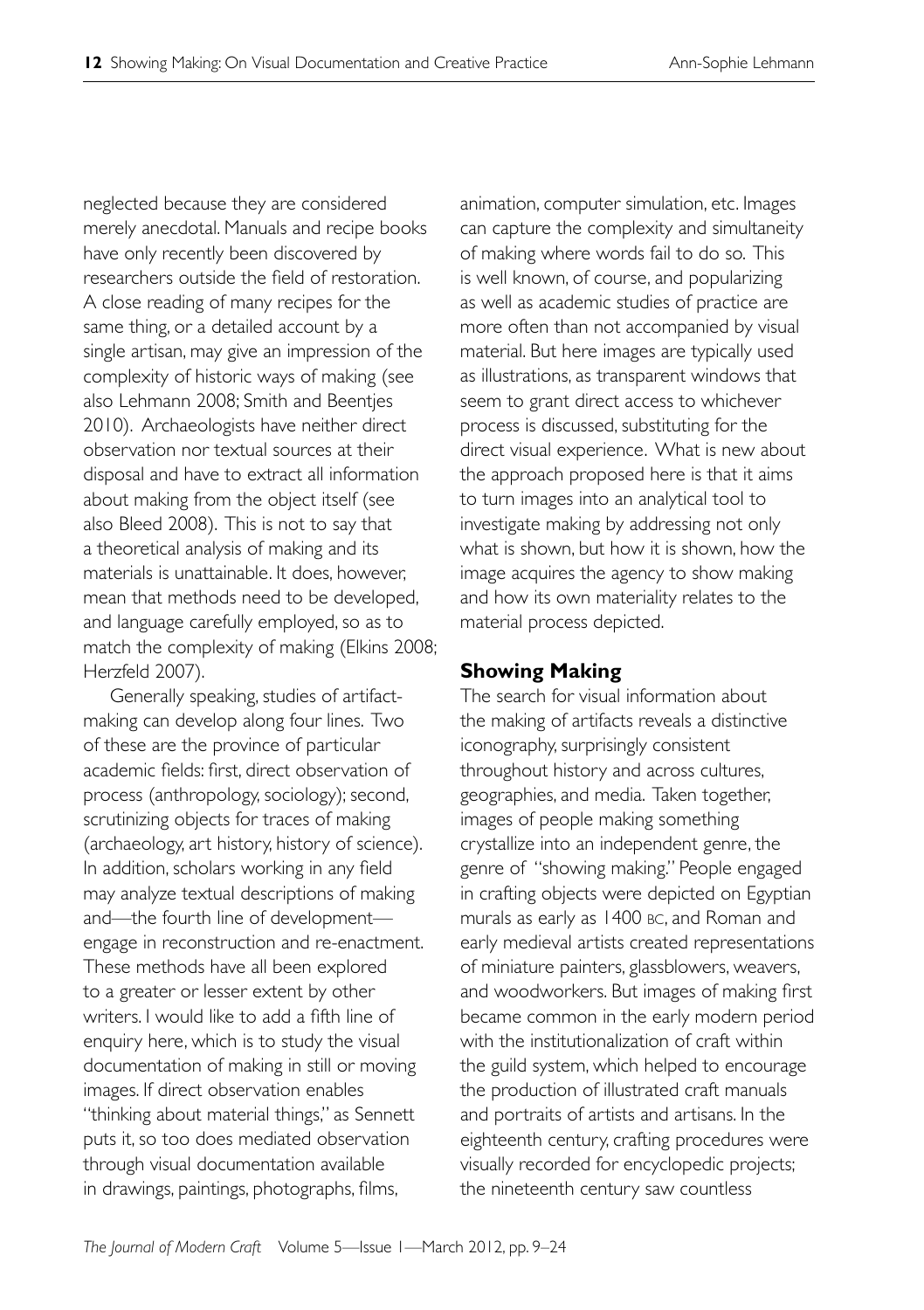neglected because they are considered merely anecdotal. Manuals and recipe books have only recently been discovered by researchers outside the field of restoration. A close reading of many recipes for the same thing, or a detailed account by a single artisan, may give an impression of the complexity of historic ways of making (see also Lehmann 2008; Smith and Beentjes 2010). Archaeologists have neither direct observation nor textual sources at their disposal and have to extract all information about making from the object itself (see also Bleed 2008). This is not to say that a theoretical analysis of making and its materials is unattainable. It does, however, mean that methods need to be developed, and language carefully employed, so as to match the complexity of making (Elkins 2008; Herzfeld 2007).

Generally speaking, studies of artifactmaking can develop along four lines. Two of these are the province of particular academic fields: first, direct observation of process (anthropology, sociology); second, scrutinizing objects for traces of making (archaeology, art history, history of science). In addition, scholars working in any field may analyze textual descriptions of making and-the fourth line of developmentengage in reconstruction and re-enactment. These methods have all been explored to a greater or lesser extent by other writers. I would like to add a fifth line of enquiry here, which is to study the visual documentation of making in still or moving images. If direct observation enables "thinking about material things," as Sennett puts it, so too does mediated observation through visual documentation available in drawings, paintings, photographs, films,

animation, computer simulation, etc. Images can capture the complexity and simultaneity of making where words fail to do so. This is well known, of course, and popularizing as well as academic studies of practice are more often than not accompanied by visual material. But here images are typically used as illustrations, as transparent windows that seem to grant direct access to whichever process is discussed, substituting for the direct visual experience. What is new about the approach proposed here is that it aims to turn images into an analytical tool to investigate making by addressing not only what is shown, but how it is shown, how the image acquires the agency to show making and how its own materiality relates to the material process depicted.

#### **Showing Making**

The search for visual information about the making of artifacts reveals a distinctive iconography, surprisingly consistent throughout history and across cultures, geographies, and media. Taken together, images of people making something crystallize into an independent genre, the genre of "showing making." People engaged in crafting objects were depicted on Egyptian murals as early as 1400 BC, and Roman and early medieval artists created representations of miniature painters, glassblowers, weavers, and woodworkers. But images of making first became common in the early modern period with the institutionalization of craft within the guild system, which helped to encourage the production of illustrated craft manuals and portraits of artists and artisans. In the eighteenth century, crafting procedures were visually recorded for encyclopedic projects; the nineteenth century saw countless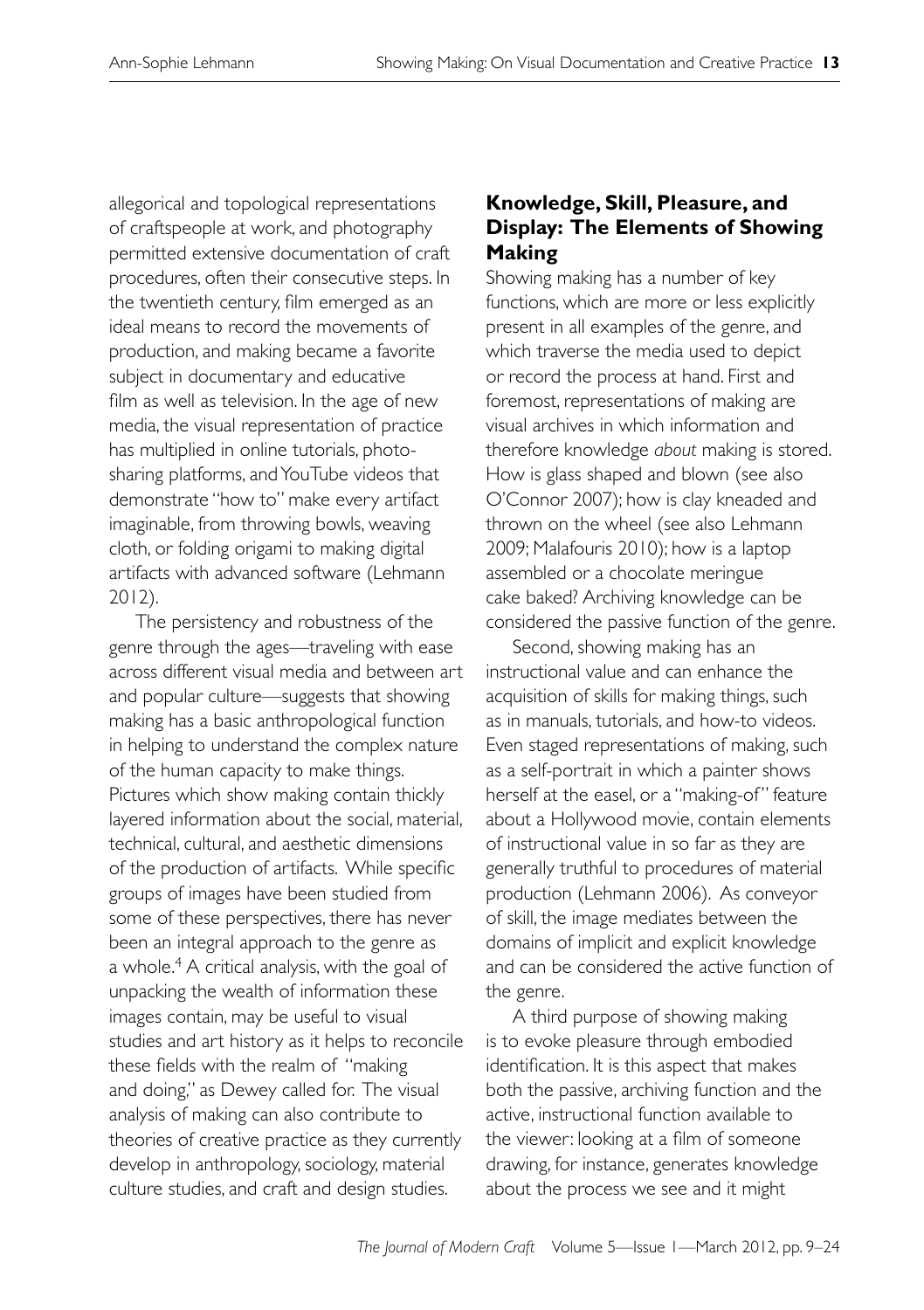allegorical and topological representations of craftspeople at work, and photography permitted extensive documentation of craft procedures, often their consecutive steps. In the twentieth century, film emerged as an ideal means to record the movements of production, and making became a favorite subject in documentary and educative film as well as television. In the age of new media, the visual representation of practice has multiplied in online tutorials, photosharing platforms, and YouTube videos that demonstrate "how to" make every artifact imaginable, from throwing bowls, weaving cloth, or folding origami to making digital artifacts with advanced software (Lehmann  $2012$ ).

The persistency and robustness of the genre through the ages—traveling with ease across different visual media and between art and popular culture-suggests that showing making has a basic anthropological function in helping to understand the complex nature of the human capacity to make things. Pictures which show making contain thickly layered information about the social material. technical, cultural, and aesthetic dimensions of the production of artifacts. While specific groups of images have been studied from some of these perspectives, there has never been an integral approach to the genre as a whole.<sup>4</sup> A critical analysis, with the goal of unpacking the wealth of information these images contain, may be useful to visual studies and art history as it helps to reconcile these fields with the realm of "making and doing," as Dewey called for. The visual analysis of making can also contribute to theories of creative practice as they currently develop in anthropology, sociology, material culture studies, and craft and design studies.

#### Knowledge, Skill, Pleasure, and **Display: The Elements of Showing Making**

Showing making has a number of key functions, which are more or less explicitly present in all examples of the genre, and which traverse the media used to depict or record the process at hand. First and foremost, representations of making are visual archives in which information and therefore knowledge about making is stored. How is glass shaped and blown (see also O'Connor 2007); how is clay kneaded and thrown on the wheel (see also Lehmann 2009; Malafouris 2010); how is a laptop assembled or a chocolate meringue cake baked? Archiving knowledge can be considered the passive function of the genre.

Second, showing making has an instructional value and can enhance the acquisition of skills for making things, such as in manuals, tutorials, and how-to videos. Even staged representations of making, such as a self-portrait in which a painter shows herself at the easel, or a "making-of" feature about a Hollywood movie, contain elements of instructional value in so far as they are generally truthful to procedures of material production (Lehmann 2006). As conveyor of skill, the image mediates between the domains of implicit and explicit knowledge and can be considered the active function of the genre.

A third purpose of showing making is to evoke pleasure through embodied identification. It is this aspect that makes both the passive, archiving function and the active, instructional function available to the viewer: looking at a film of someone drawing, for instance, generates knowledge about the process we see and it might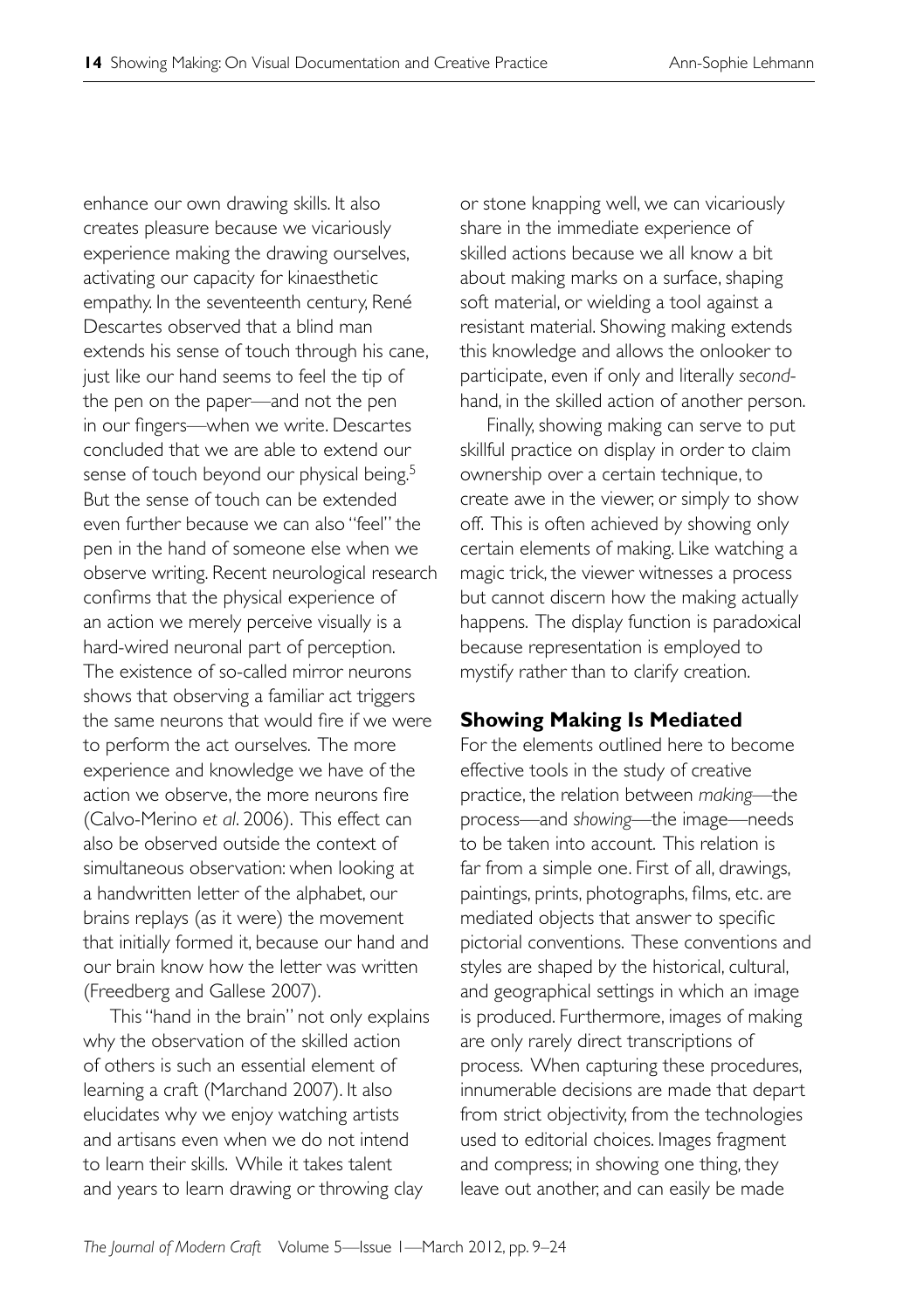enhance our own drawing skills. It also creates pleasure because we vicariously experience making the drawing ourselves, activating our capacity for kinaesthetic empathy. In the seventeenth century, René Descartes observed that a blind man extends his sense of touch through his cane, just like our hand seems to feel the tip of the pen on the paper-and not the pen in our fingers-when we write. Descartes concluded that we are able to extend our sense of touch beyond our physical being.<sup>5</sup> But the sense of touch can be extended even further because we can also "feel" the pen in the hand of someone else when we observe writing. Recent neurological research confirms that the physical experience of an action we merely perceive visually is a hard-wired neuronal part of perception. The existence of so-called mirror neurons shows that observing a familiar act triggers the same neurons that would fire if we were to perform the act ourselves. The more experience and knowledge we have of the action we observe, the more neurons fire (Calvo-Merino et al. 2006). This effect can also be observed outside the context of simultaneous observation: when looking at a handwritten letter of the alphabet, our brains replays (as it were) the movement that initially formed it, because our hand and our brain know how the letter was written (Freedberg and Gallese 2007).

This "hand in the brain" not only explains why the observation of the skilled action of others is such an essential element of learning a craft (Marchand 2007). It also elucidates why we enjoy watching artists and artisans even when we do not intend to learn their skills. While it takes talent and years to learn drawing or throwing clay

or stone knapping well, we can vicariously share in the immediate experience of skilled actions because we all know a bit about making marks on a surface, shaping soft material, or wielding a tool against a resistant material. Showing making extends this knowledge and allows the onlooker to participate, even if only and literally secondhand, in the skilled action of another person.

Finally, showing making can serve to put skillful practice on display in order to claim ownership over a certain technique, to create awe in the viewer, or simply to show off. This is often achieved by showing only certain elements of making. Like watching a magic trick, the viewer witnesses a process but cannot discern how the making actually happens. The display function is paradoxical because representation is employed to mystify rather than to clarify creation.

#### **Showing Making Is Mediated**

For the elements outlined here to become effective tools in the study of creative practice, the relation between making-the process—and showing—the image—needs to be taken into account. This relation is far from a simple one. First of all, drawings, paintings, prints, photographs, films, etc. are mediated objects that answer to specific pictorial conventions. These conventions and styles are shaped by the historical, cultural, and geographical settings in which an image is produced. Furthermore, images of making are only rarely direct transcriptions of process. When capturing these procedures, innumerable decisions are made that depart from strict objectivity, from the technologies used to editorial choices. Images fragment and compress; in showing one thing, they leave out another, and can easily be made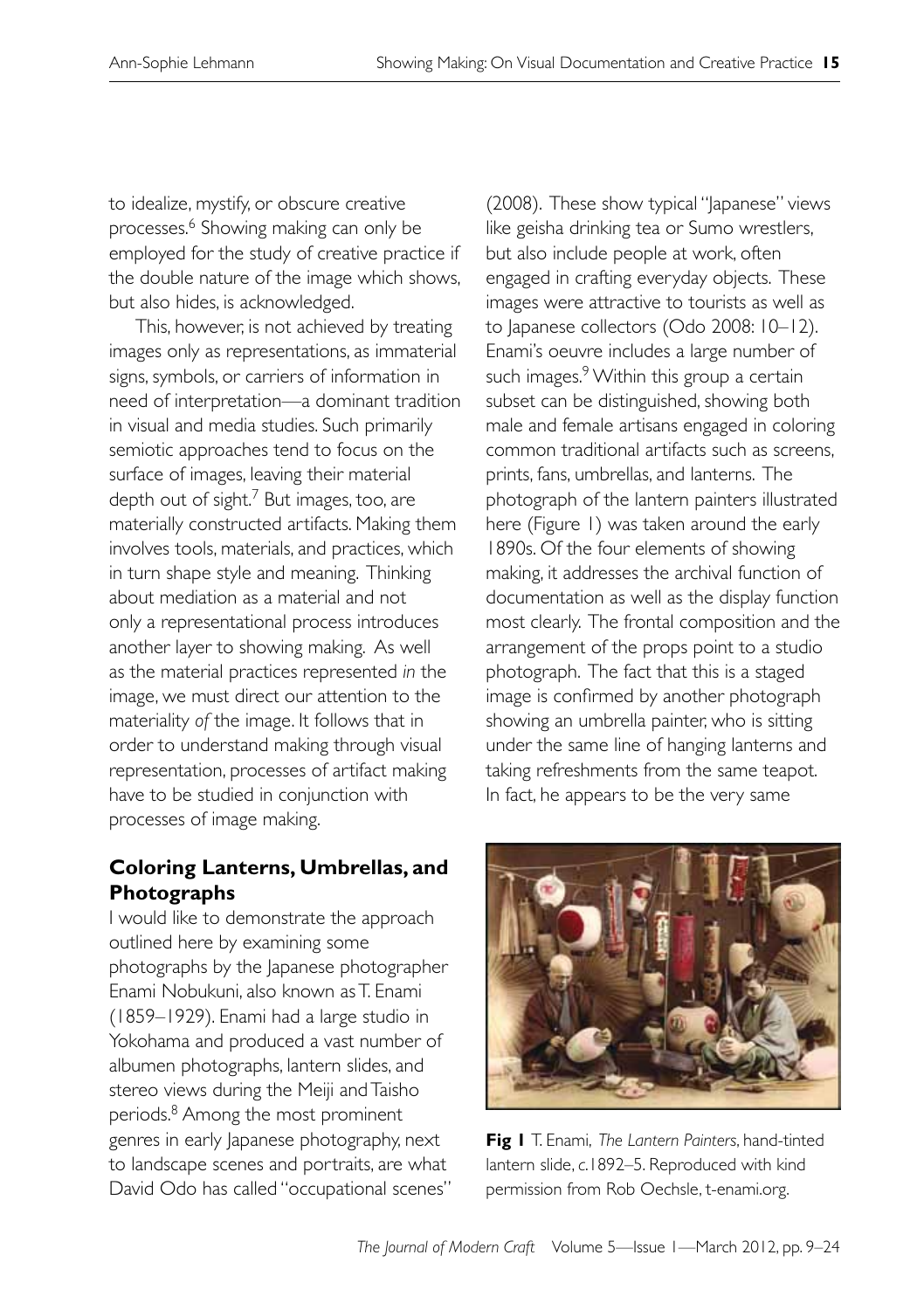to idealize, mystify, or obscure creative processes.<sup>6</sup> Showing making can only be employed for the study of creative practice if the double nature of the image which shows, but also hides, is acknowledged.

This, however, is not achieved by treating images only as representations, as immaterial signs, symbols, or carriers of information in need of interpretation-a dominant tradition in visual and media studies. Such primarily semiotic approaches tend to focus on the surface of images, leaving their material depth out of sight.<sup>7</sup> But images, too, are materially constructed artifacts. Making them involves tools, materials, and practices, which in turn shape style and meaning. Thinking about mediation as a material and not only a representational process introduces another layer to showing making. As well as the material practices represented in the image, we must direct our attention to the materiality of the image. It follows that in order to understand making through visual representation, processes of artifact making have to be studied in conjunction with processes of image making.

# **Coloring Lanterns, Umbrellas, and Photographs**

I would like to demonstrate the approach outlined here by examining some photographs by the Japanese photographer Enami Nobukuni, also known as T. Enami (1859-1929). Enami had a large studio in Yokohama and produced a vast number of albumen photographs, lantern slides, and stereo views during the Meiji and Taisho periods.<sup>8</sup> Among the most prominent genres in early lapanese photography, next to landscape scenes and portraits, are what David Odo has called "occupational scenes"

(2008). These show typical "Japanese" views like geisha drinking tea or Sumo wrestlers, but also include people at work, often engaged in crafting everyday objects. These images were attractive to tourists as well as to Japanese collectors (Odo 2008: 10-12). Enami's oeuvre includes a large number of such images.<sup>9</sup> Within this group a certain subset can be distinguished, showing both male and female artisans engaged in coloring common traditional artifacts such as screens. prints, fans, umbrellas, and lanterns. The photograph of the lantern painters illustrated here (Figure 1) was taken around the early 1890s. Of the four elements of showing making, it addresses the archival function of documentation as well as the display function most clearly. The frontal composition and the arrangement of the props point to a studio photograph. The fact that this is a staged image is confirmed by another photograph showing an umbrella painter, who is sitting under the same line of hanging lanterns and taking refreshments from the same teapot. In fact, he appears to be the very same



Fig I T. Enami, The Lantern Painters, hand-tinted lantern slide, c.1892-5. Reproduced with kind permission from Rob Oechsle, t-enami.org.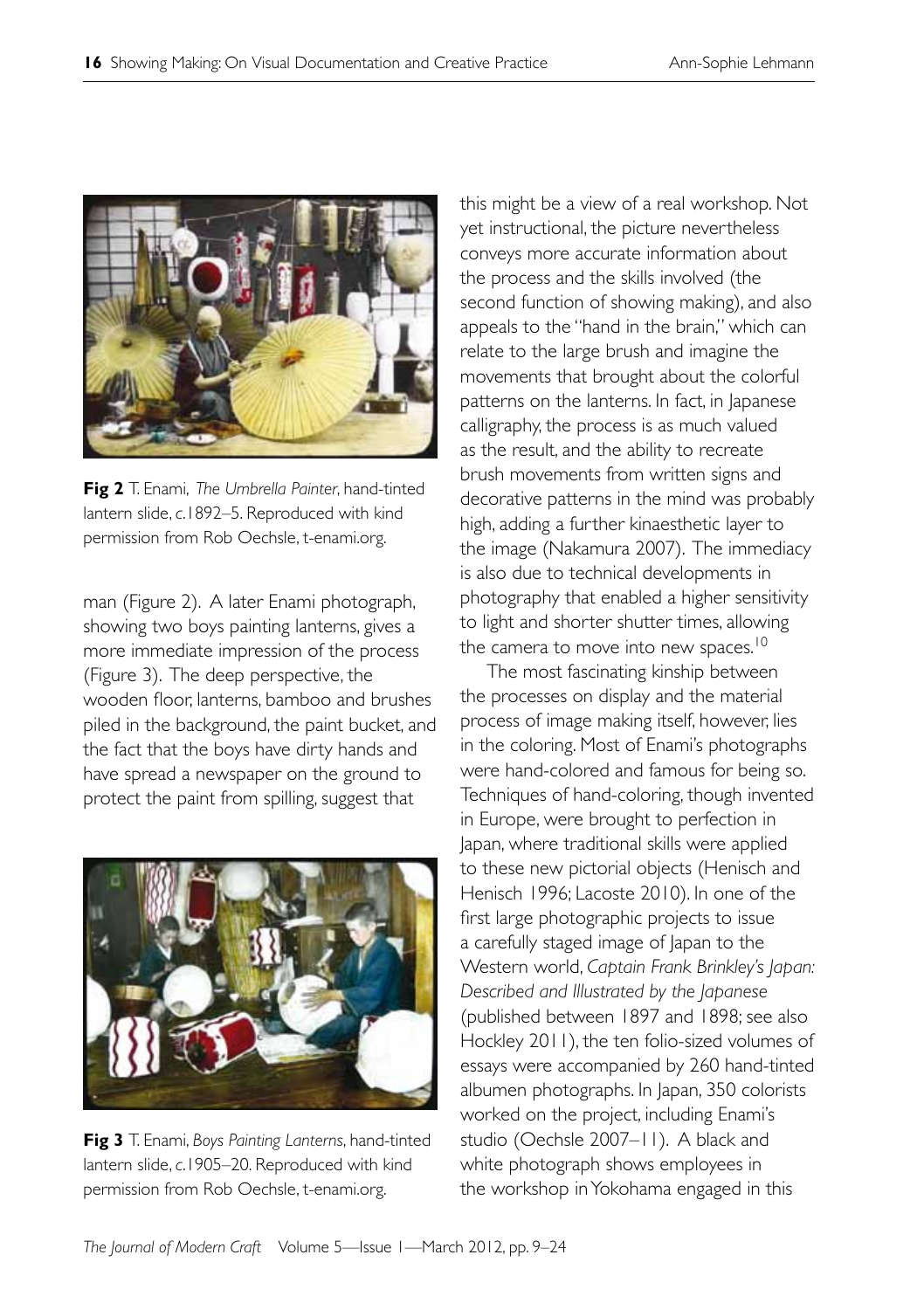

Fig 2 T. Enami, The Umbrella Painter, hand-tinted lantern slide, c.1892-5. Reproduced with kind permission from Rob Oechsle, t-enami.org.

man (Figure 2). A later Enami photograph, showing two boys painting lanterns, gives a more immediate impression of the process (Figure 3). The deep perspective, the wooden floor lanterns, bamboo and brushes piled in the background, the paint bucket, and the fact that the boys have dirty hands and have spread a newspaper on the ground to protect the paint from spilling, suggest that



Fig 3 T. Enami, Boys Painting Lanterns, hand-tinted lantern slide, c.1905-20. Reproduced with kind permission from Rob Oechsle, t-enami.org.

this might be a view of a real workshop. Not yet instructional, the picture nevertheless conveys more accurate information about the process and the skills involved (the second function of showing making), and also appeals to the "hand in the brain," which can relate to the large brush and imagine the movements that brought about the colorful patterns on the lanterns. In fact, in Japanese calligraphy, the process is as much valued as the result, and the ability to recreate brush movements from written signs and decorative patterns in the mind was probably high, adding a further kinaesthetic layer to the image (Nakamura 2007). The immediacy is also due to technical developments in photography that enabled a higher sensitivity to light and shorter shutter times, allowing the camera to move into new spaces.<sup>10</sup>

The most fascinating kinship between the processes on display and the material process of image making itself, however, lies in the coloring. Most of Enami's photographs were hand-colored and famous for being so. Techniques of hand-coloring, though invented in Europe, were brought to perfection in Japan, where traditional skills were applied to these new pictorial objects (Henisch and Henisch 1996; Lacoste 2010). In one of the first large photographic projects to issue a carefully staged image of Japan to the Western world, Captain Frank Brinkley's Japan: Described and Illustrated by the Japanese (published between 1897 and 1898; see also Hockley 2011), the ten folio-sized volumes of essays were accompanied by 260 hand-tinted albumen photographs. In Japan, 350 colorists worked on the project, including Enami's studio (Oechsle 2007-11). A black and white photograph shows employees in the workshop in Yokohama engaged in this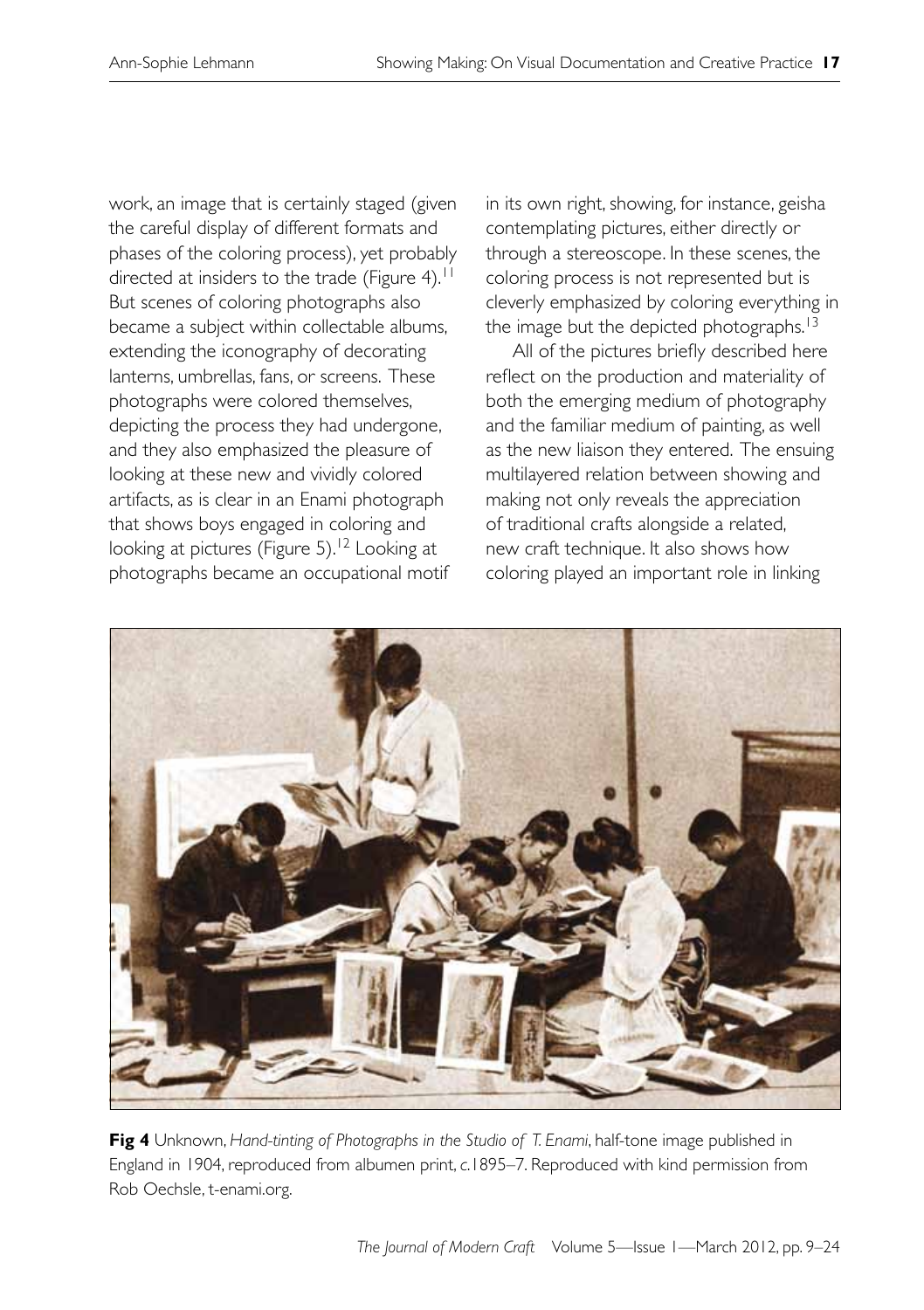work, an image that is certainly staged (given the careful display of different formats and phases of the coloring process), yet probably directed at insiders to the trade (Figure 4).<sup>11</sup> But scenes of coloring photographs also became a subject within collectable albums, extending the iconography of decorating lanterns, umbrellas, fans, or screens. These photographs were colored themselves, depicting the process they had undergone, and they also emphasized the pleasure of looking at these new and vividly colored artifacts, as is clear in an Enami photograph that shows boys engaged in coloring and looking at pictures (Figure 5).<sup>12</sup> Looking at photographs became an occupational motif

in its own right, showing, for instance, geisha contemplating pictures, either directly or through a stereoscope. In these scenes, the coloring process is not represented but is cleverly emphasized by coloring everything in the image but the depicted photographs.<sup>13</sup>

All of the pictures briefly described here reflect on the production and materiality of both the emerging medium of photography and the familiar medium of painting, as well as the new liaison they entered. The ensuing multilayered relation between showing and making not only reveals the appreciation of traditional crafts alongside a related, new craft technique. It also shows how coloring played an important role in linking



Fig 4 Unknown, Hand-tinting of Photographs in the Studio of T. Enami, half-tone image published in England in 1904, reproduced from albumen print, c.1895-7. Reproduced with kind permission from Rob Oechsle, t-enami.org.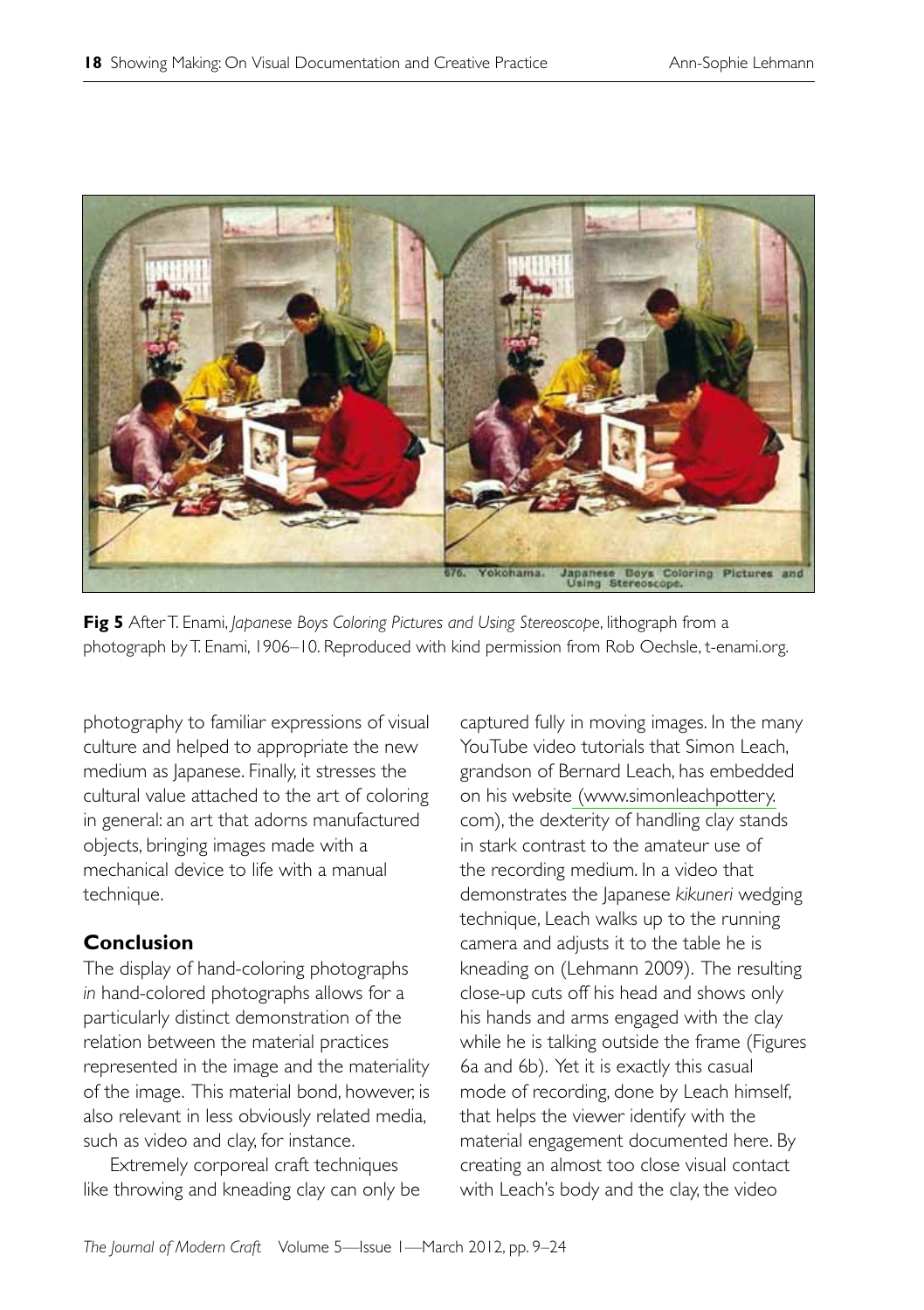

Fig 5 After T. Enami, Japanese Boys Coloring Pictures and Using Stereoscope, lithograph from a photograph by T. Enami, 1906-10. Reproduced with kind permission from Rob Oechsle, t-enami.org.

photography to familiar expressions of visual culture and helped to appropriate the new medium as Japanese. Finally, it stresses the cultural value attached to the art of coloring in general: an art that adorns manufactured objects, bringing images made with a mechanical device to life with a manual technique.

# **Conclusion**

The display of hand-coloring photographs in hand-colored photographs allows for a particularly distinct demonstration of the relation between the material practices represented in the image and the materiality of the image. This material bond, however, is also relevant in less obviously related media, such as video and clay, for instance.

Extremely corporeal craft techniques like throwing and kneading clay can only be

captured fully in moving images. In the many YouTube video tutorials that Simon Leach, grandson of Bernard Leach, has embedded on his website (www.simonleachpottery. com), the dexterity of handling clay stands in stark contrast to the amateur use of the recording medium. In a video that demonstrates the Japanese kikuneri wedging technique, Leach walks up to the running camera and adjusts it to the table he is kneading on (Lehmann 2009). The resulting close-up cuts off his head and shows only his hands and arms engaged with the clay while he is talking outside the frame (Figures 6a and 6b). Yet it is exactly this casual mode of recording, done by Leach himself, that helps the viewer identify with the material engagement documented here. By creating an almost too close visual contact with Leach's body and the clay, the video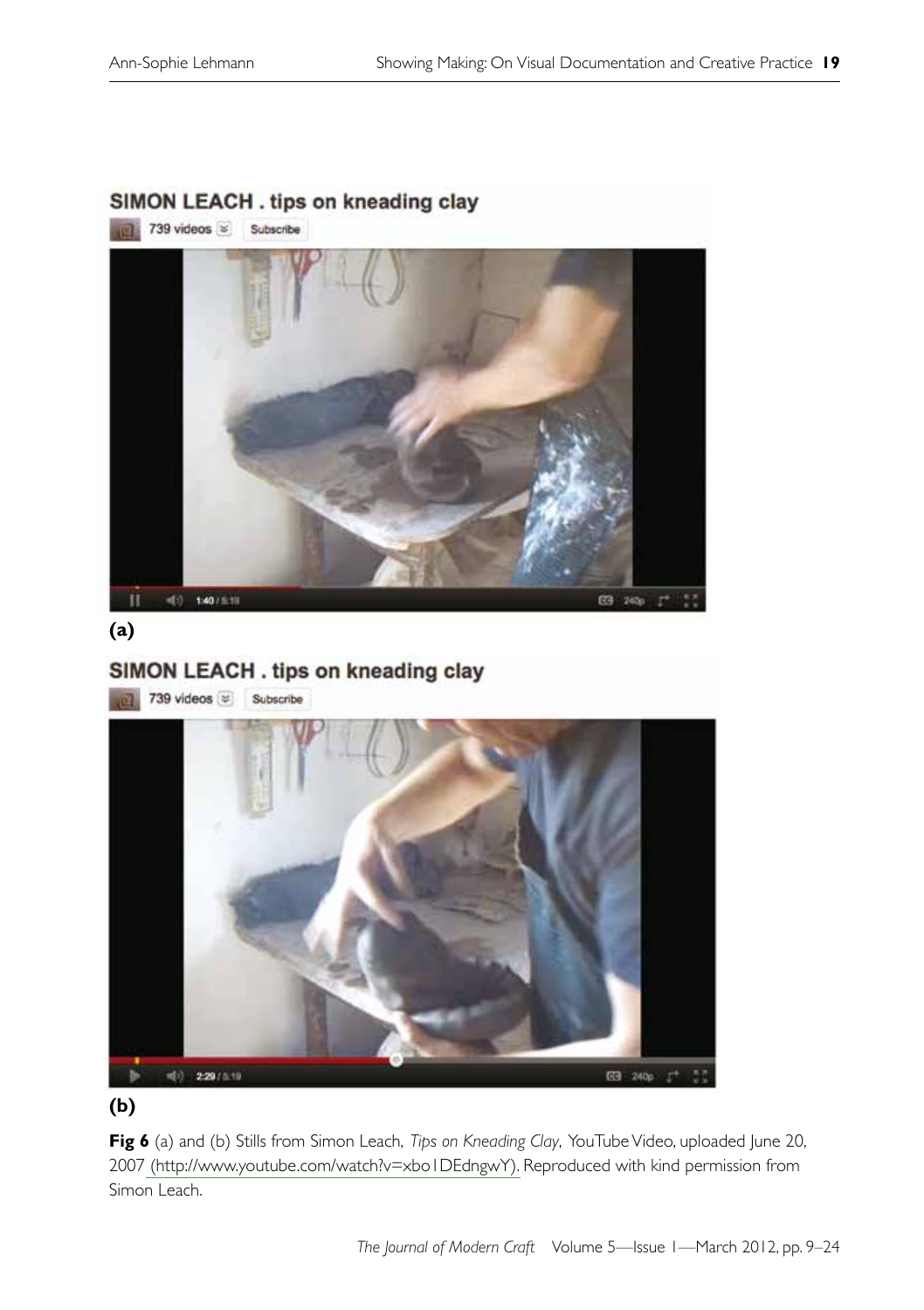#### SIMON LEACH . tips on kneading clay





# $(a)$

# SIMON LEACH . tips on kneading clay



# $(b)$

Fig 6 (a) and (b) Stills from Simon Leach, Tips on Kneading Clay, YouTube Video, uploaded June 20, 2007 (http://www.youtube.com/watch?v=xbolDEdngwY). Reproduced with kind permission from Simon Leach.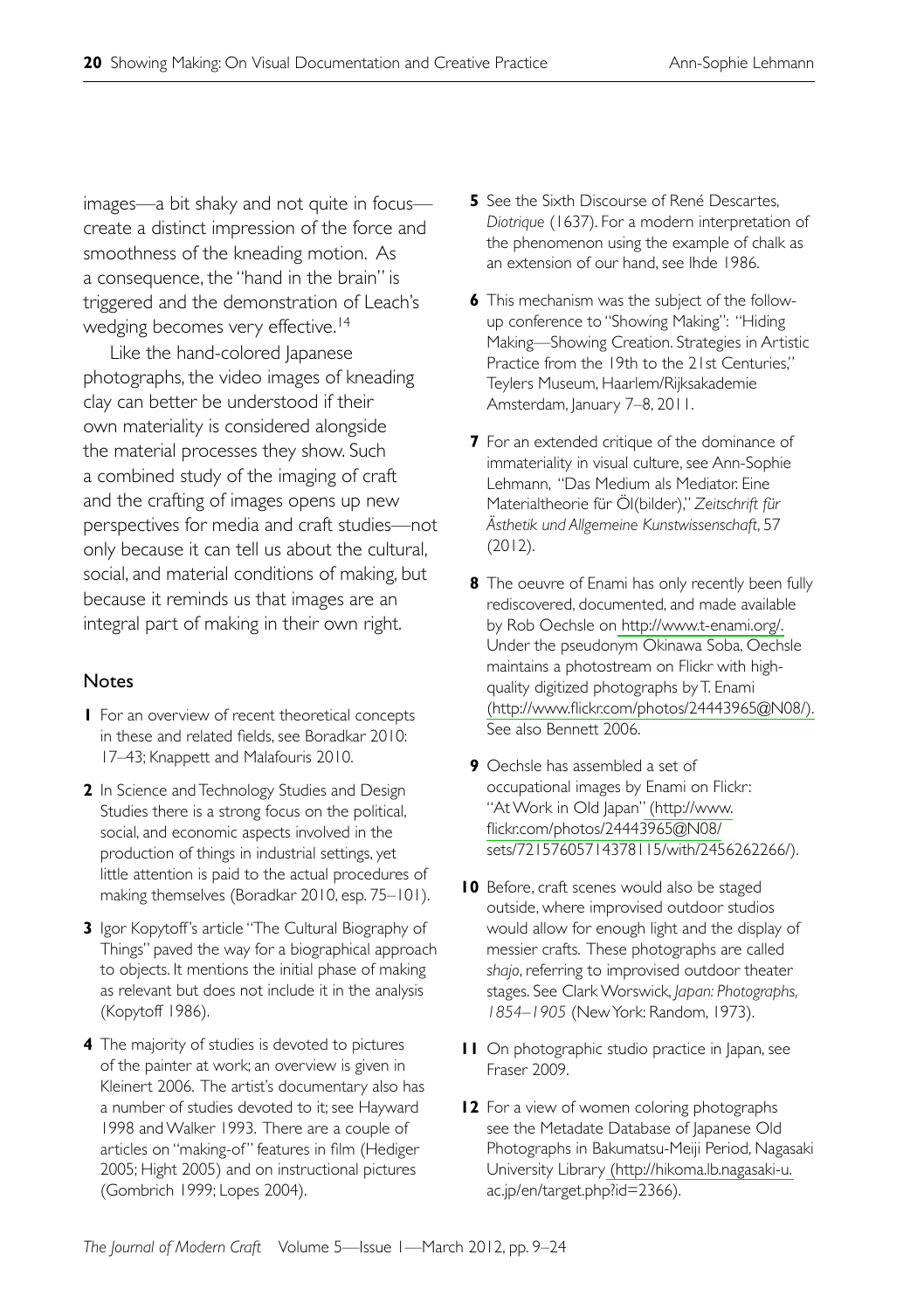images-a bit shaky and not quite in focuscreate a distinct impression of the force and smoothness of the kneading motion. As a consequence, the "hand in the brain" is triggered and the demonstration of Leach's wedging becomes very effective.<sup>14</sup>

Like the hand-colored Japanese photographs, the video images of kneading clay can better be understood if their own materiality is considered alongside the material processes they show. Such a combined study of the imaging of craft and the crafting of images opens up new perspectives for media and craft studies-not only because it can tell us about the cultural, social, and material conditions of making, but because it reminds us that images are an integral part of making in their own right.

#### **Notes**

- I For an overview of recent theoretical concepts in these and related fields, see Boradkar 2010; 17-43; Knappett and Malafouris 2010.
- 2 In Science and Technology Studies and Design Studies there is a strong focus on the political, social, and economic aspects involved in the production of things in industrial settings, yet little attention is paid to the actual procedures of making themselves (Boradkar 2010, esp. 75-101).
- 3 Igor Kopytoff's article "The Cultural Biography of Things" paved the way for a biographical approach to objects. It mentions the initial phase of making as relevant but does not include it in the analysis (Kopytoff 1986).
- 4 The majority of studies is devoted to pictures of the painter at work; an overview is given in Kleinert 2006. The artist's documentary also has a number of studies devoted to it; see Hayward 1998 and Walker 1993. There are a couple of articles on "making-of" features in film (Hediger 2005; Hight 2005) and on instructional pictures (Gombrich 1999; Lopes 2004).
- 5 See the Sixth Discourse of René Descartes. Diotrique (1637). For a modern interpretation of the phenomenon using the example of chalk as an extension of our hand, see lhde 1986.
- 6 This mechanism was the subject of the followup conference to "Showing Making": "Hiding Making-Showing Creation. Strategies in Artistic Practice from the 19th to the 21st Centuries," Teylers Museum, Haarlem/Rijksakademie Amsterdam, January 7-8, 2011.
- 7 For an extended critique of the dominance of immateriality in visual culture, see Ann-Sophie Lehmann, "Das Medium als Mediator. Eine Materialtheorie für Öl(bilder)," Zeitschrift für Ästhetik und Allgemeine Kunstwissenschaft, 57  $(2012).$
- 8 The oeuvre of Enami has only recently been fully rediscovered, documented, and made available by Rob Oechsle on http://www.t-enami.org/. Under the pseudonym Okinawa Soba, Oechsle maintains a photostream on Flickr with highquality digitized photographs by T. Enami (http://www.flickr.com/photos/24443965@N08/). See also Bennett 2006.
- **9** Oechsle has assembled a set of occupational images by Enami on Flickr: "At Work in Old Japan" (http://www. flickr.com/photos/24443965@N08/ sets/72157605714378115/with/2456262266/).
- 10 Before, craft scenes would also be staged outside, where improvised outdoor studios would allow for enough light and the display of messier crafts. These photographs are called shajo, referring to improvised outdoor theater stages. See Clark Worswick, Japan: Photographs, 1854-1905 (New York: Random, 1973).
- II On photographic studio practice in Japan, see Fraser 2009.
- 12 For a view of women coloring photographs see the Metadate Database of Japanese Old Photographs in Bakumatsu-Meiji Period, Nagasaki University Library (http://hikoma.lb.nagasaki-u. ac.jp/en/target.php?id=2366).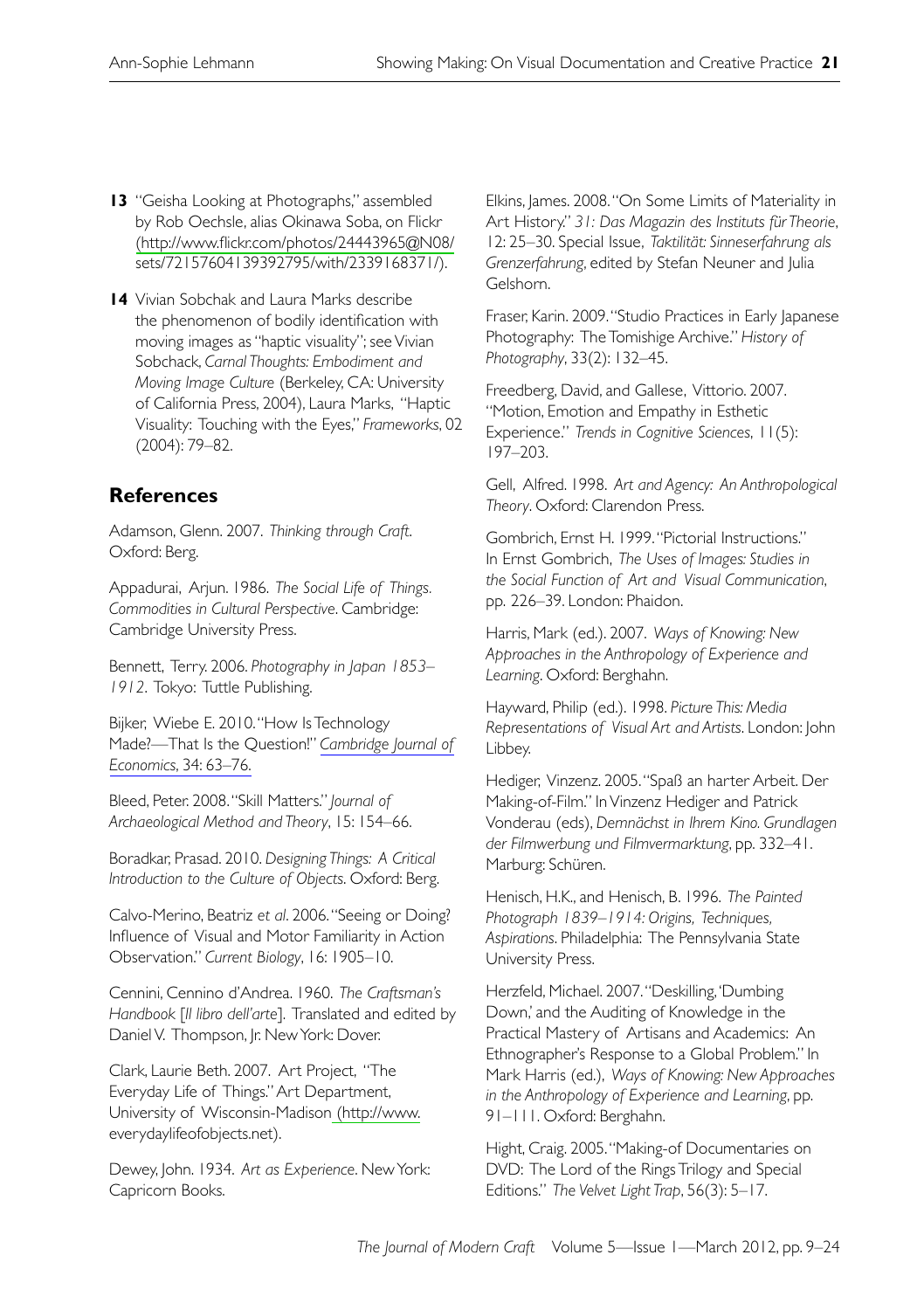- 13 "Geisha Looking at Photographs," assembled by Rob Oechsle, alias Okinawa Soba, on Flickr (http://www.flickr.com/photos/24443965@N08/ sets/72157604139392795/with/2339168371/).
- 14 Vivian Sobchak and Laura Marks describe the phenomenon of bodily identification with moving images as "haptic visuality"; see Vivian Sobchack, Carnal Thoughts: Embodiment and Moving Image Culture (Berkeley, CA: University of California Press, 2004), Laura Marks, "Haptic Visuality: Touching with the Eyes," Frameworks, 02  $(2004): 79 - 82.$

# **References**

Adamson, Glenn. 2007. Thinking through Craft. Oxford: Berg.

Appadurai, Arjun. 1986. The Social Life of Things. Commodities in Cultural Perspective. Cambridge: Cambridge University Press.

Bennett, Terry. 2006. Photography in Japan 1853-1912. Tokyo: Tuttle Publishing.

Bijker, Wiebe E. 2010. "How Is Technology Made?-That Is the Question!" Cambridge Journal of Economics, 34: 63-76.

Bleed, Peter. 2008. "Skill Matters." Journal of Archaeological Method and Theory, 15: 154-66.

Boradkar, Prasad. 2010. Designing Things: A Critical Introduction to the Culture of Objects. Oxford: Berg.

Calvo-Merino, Beatriz et al. 2006. "Seeing or Doing? Influence of Visual and Motor Familiarity in Action Observation." Current Biology, 16: 1905-10.

Cennini, Cennino d'Andrea. 1960. The Craftsman's Handbook [Il libro dell'arte]. Translated and edited by Daniel V. Thompson, Jr. New York: Dover.

Clark, Laurie Beth. 2007. Art Project, "The Everyday Life of Things." Art Department, University of Wisconsin-Madison (http://www. everydaylifeofobjects.net).

Dewey, John. 1934. Art as Experience. New York: Capricorn Books.

Elkins, James. 2008. "On Some Limits of Materiality in Art History." 31: Das Magazin des Instituts für Theorie, 12: 25-30. Special Issue, Taktilität: Sinneserfahrung als Grenzerfahrung, edited by Stefan Neuner and Julia Gelshorn.

Fraser, Karin. 2009. "Studio Practices in Early Japanese Photography: The Tomishige Archive." History of Photography, 33(2): 132-45.

Freedberg, David, and Gallese, Vittorio. 2007. "Motion, Emotion and Empathy in Esthetic Experience." Trends in Cognitive Sciences, 11(5):  $197 - 203$ .

Gell, Alfred. 1998. Art and Agency: An Anthropological Theory. Oxford: Clarendon Press.

Gombrich, Ernst H. 1999. "Pictorial Instructions." In Ernst Gombrich, The Uses of Images: Studies in the Social Function of Art and Visual Communication, pp. 226-39. London: Phaidon.

Harris, Mark (ed.). 2007. Ways of Knowing: New Approaches in the Anthropology of Experience and Learning. Oxford: Berghahn.

Hayward, Philip (ed.). 1998. Picture This: Media Representations of Visual Art and Artists. London: John Libbey.

Hediger, Vinzenz. 2005. "Spaß an harter Arbeit. Der Making-of-Film." In Vinzenz Hediger and Patrick Vonderau (eds), Demnächst in Ihrem Kino. Grundlagen der Filmwerbung und Filmvermarktung, pp. 332-41. Marburg: Schüren.

Henisch, H.K., and Henisch, B. 1996. The Painted Photograph 1839-1914: Origins, Techniques, Aspirations. Philadelphia: The Pennsylvania State University Press.

Herzfeld, Michael. 2007. "Deskilling, 'Dumbing Down,' and the Auditing of Knowledge in the Practical Mastery of Artisans and Academics: An Ethnographer's Response to a Global Problem." In Mark Harris (ed.), Ways of Knowing: New Approaches in the Anthropology of Experience and Learning, pp. 91-111. Oxford: Berghahn.

Hight, Craig. 2005. "Making-of Documentaries on DVD: The Lord of the Rings Trilogy and Special Editions." The Velvet Light Trap, 56(3): 5-17.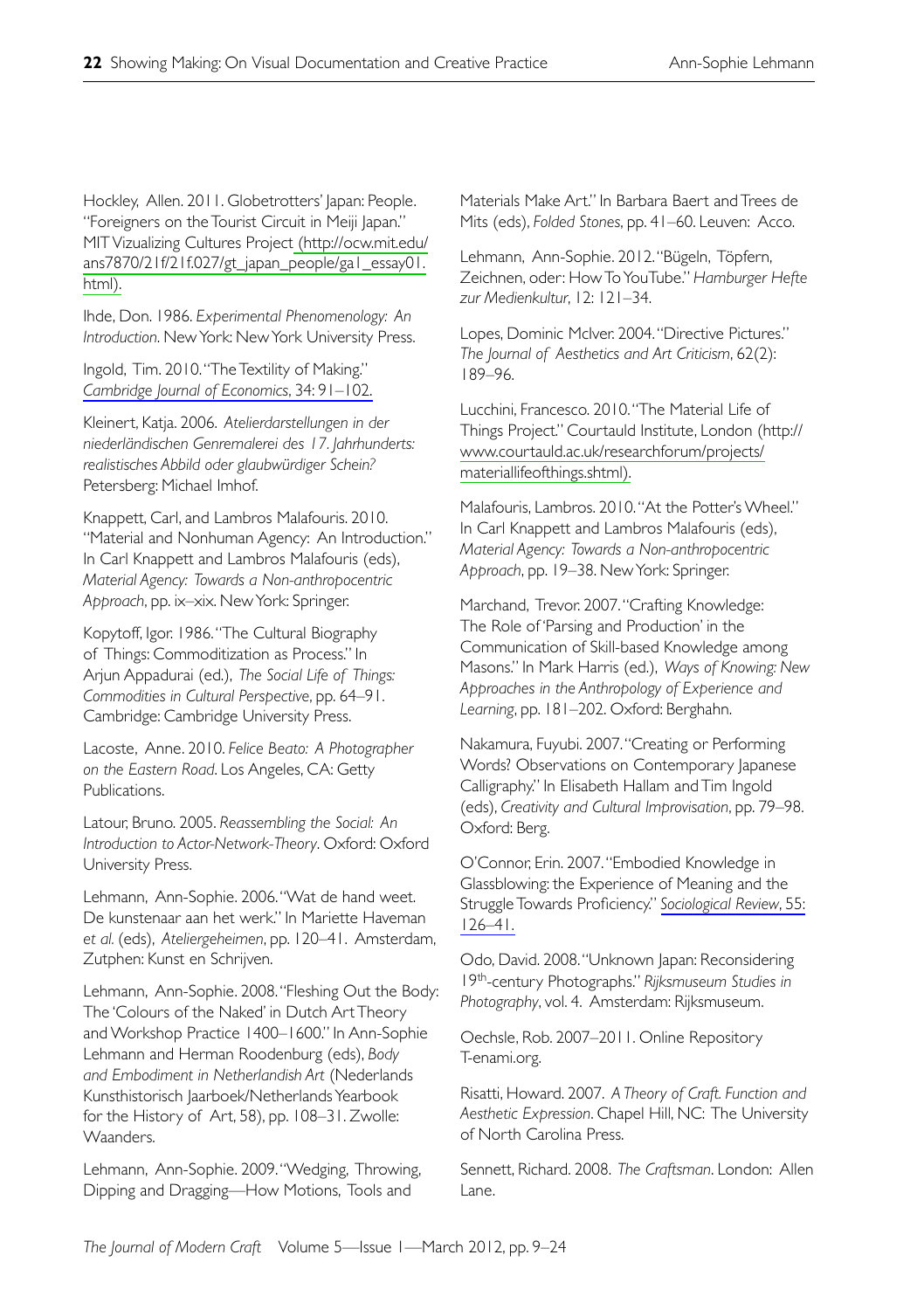Hockley, Allen. 2011. Globetrotters' Japan: People. "Foreigners on the Tourist Circuit in Meiji Japan." MIT Vizualizing Cultures Project (http://ocw.mit.edu/ ans7870/21f/21f.027/gt\_japan\_people/ga1\_essay01. html).

Ihde, Don. 1986. Experimental Phenomenology: An Introduction. New York: New York University Press.

Ingold, Tim. 2010. "The Textility of Making." Cambridge Journal of Economics, 34: 91-102.

Kleinert, Katja. 2006. Atelierdarstellungen in der niederländischen Genremalerei des 17. Jahrhunderts: realistisches Abbild oder glaubwürdiger Schein? Petersberg: Michael Imhof.

Knappett, Carl, and Lambros Malafouris. 2010. "Material and Nonhuman Agency: An Introduction." In Carl Knappett and Lambros Malafouris (eds), Material Agency: Towards a Non-anthropocentric Approach, pp. ix-xix. New York: Springer.

Kopytoff, Igor. 1986. "The Cultural Biography of Things: Commoditization as Process." In Arjun Appadurai (ed.), The Social Life of Things: Commodities in Cultural Perspective, pp. 64-91. Cambridge: Cambridge University Press.

Lacoste, Anne. 2010. Felice Beato: A Photographer on the Eastern Road. Los Angeles, CA: Getty Publications.

Latour, Bruno. 2005. Reassembling the Social: An Introduction to Actor-Network-Theory. Oxford: Oxford University Press.

Lehmann, Ann-Sophie. 2006. "Wat de hand weet. De kunstenaar aan het werk." In Mariette Haveman et al. (eds), Ateliergeheimen, pp. 120-41. Amsterdam, Zutphen: Kunst en Schrijven.

Lehmann, Ann-Sophie. 2008. "Fleshing Out the Body: The 'Colours of the Naked' in Dutch Art Theory and Workshop Practice 1400-1600." In Ann-Sophie Lehmann and Herman Roodenburg (eds), Body and Embodiment in Netherlandish Art (Nederlands Kunsthistorisch Jaarboek/Netherlands Yearbook for the History of Art, 58), pp. 108-31. Zwolle: Waanders.

Lehmann, Ann-Sophie. 2009. "Wedging, Throwing, Dipping and Dragging-How Motions, Tools and

Materials Make Art." In Barbara Baert and Trees de Mits (eds), Folded Stones, pp. 41-60. Leuven: Acco.

Lehmann, Ann-Sophie. 2012. "Bügeln, Töpfern, Zeichnen, oder: How To YouTube." Hamburger Hefte zur Medienkultur. 12: 121-34.

Lopes, Dominic McIver. 2004. "Directive Pictures." The Journal of Aesthetics and Art Criticism, 62(2): 189-96.

Lucchini, Francesco. 2010. "The Material Life of Things Project." Courtauld Institute, London (http:// www.courtauld.ac.uk/researchforum/projects/ materiallifeofthings.shtml).

Malafouris, Lambros, 2010. "At the Potter's Wheel." In Carl Knappett and Lambros Malafouris (eds), Material Agency: Towards a Non-anthropocentric Approach, pp. 19-38. New York: Springer.

Marchand, Trevor. 2007. "Crafting Knowledge: The Role of 'Parsing and Production' in the Communication of Skill-based Knowledge among Masons." In Mark Harris (ed.), Ways of Knowing: New Approaches in the Anthropology of Experience and Learning, pp. 181-202. Oxford: Berghahn.

Nakamura, Fuyubi. 2007. "Creating or Performing Words? Observations on Contemporary Japanese Calligraphy." In Elisabeth Hallam and Tim Ingold (eds), Creativity and Cultural Improvisation, pp. 79-98. Oxford: Berg.

O'Connor, Erin. 2007. "Embodied Knowledge in Glassblowing: the Experience of Meaning and the Struggle Towards Proficiency." Sociological Review, 55:  $126 - 41$ .

Odo, David. 2008. "Unknown Japan: Reconsidering 19th-century Photographs." Rijksmuseum Studies in Photography, vol. 4. Amsterdam: Rijksmuseum.

Oechsle, Rob. 2007-2011. Online Repository T-enami.org.

Risatti, Howard. 2007. A Theory of Craft. Function and Aesthetic Expression. Chapel Hill, NC: The University of North Carolina Press.

Sennett, Richard. 2008. The Craftsman. London: Allen Lane.